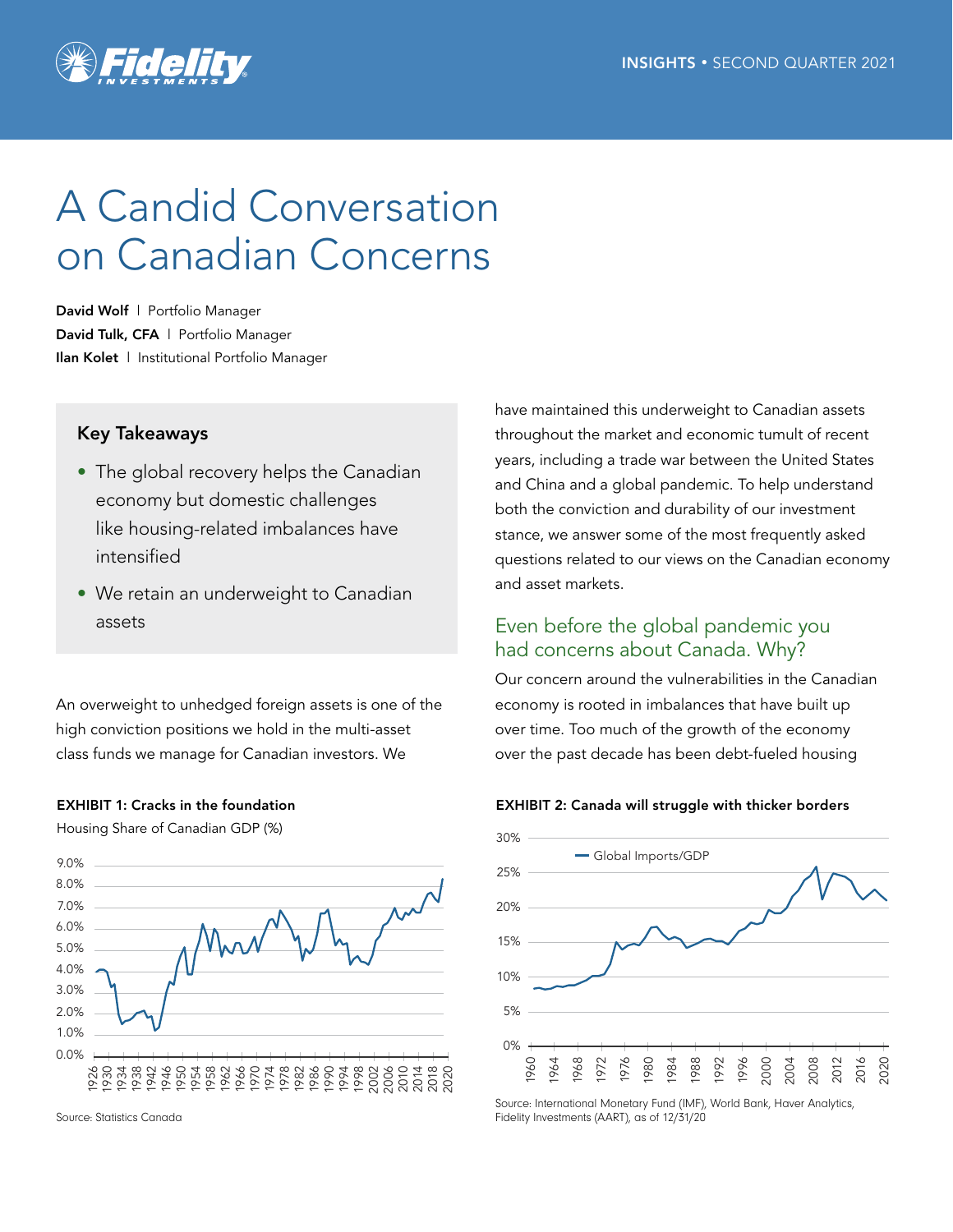

# A Candid Conversation on Canadian Concerns

David Wolf | Portfolio Manager David Tulk, CFA | Portfolio Manager Ilan Kolet | Institutional Portfolio Manager

## Key Takeaways

- The global recovery helps the Canadian economy but domestic challenges like housing-related imbalances have intensified
- We retain an underweight to Canadian assets

An overweight to unhedged foreign assets is one of the high conviction positions we hold in the multi-asset class funds we manage for Canadian investors. We



Housing Share of Canadian GDP (%)



Source: Statistics Canada

have maintained this underweight to Canadian assets throughout the market and economic tumult of recent years, including a trade war between the United States and China and a global pandemic. To help understand both the conviction and durability of our investment stance, we answer some of the most frequently asked questions related to our views on the Canadian economy and asset markets.

# Even before the global pandemic you had concerns about Canada. Why?

Our concern around the vulnerabilities in the Canadian economy is rooted in imbalances that have built up over time. Too much of the growth of the economy over the past decade has been debt-fueled housing





Source: International Monetary Fund (IMF), World Bank, Haver Analytics, Fidelity Investments (AART), as of 12/31/20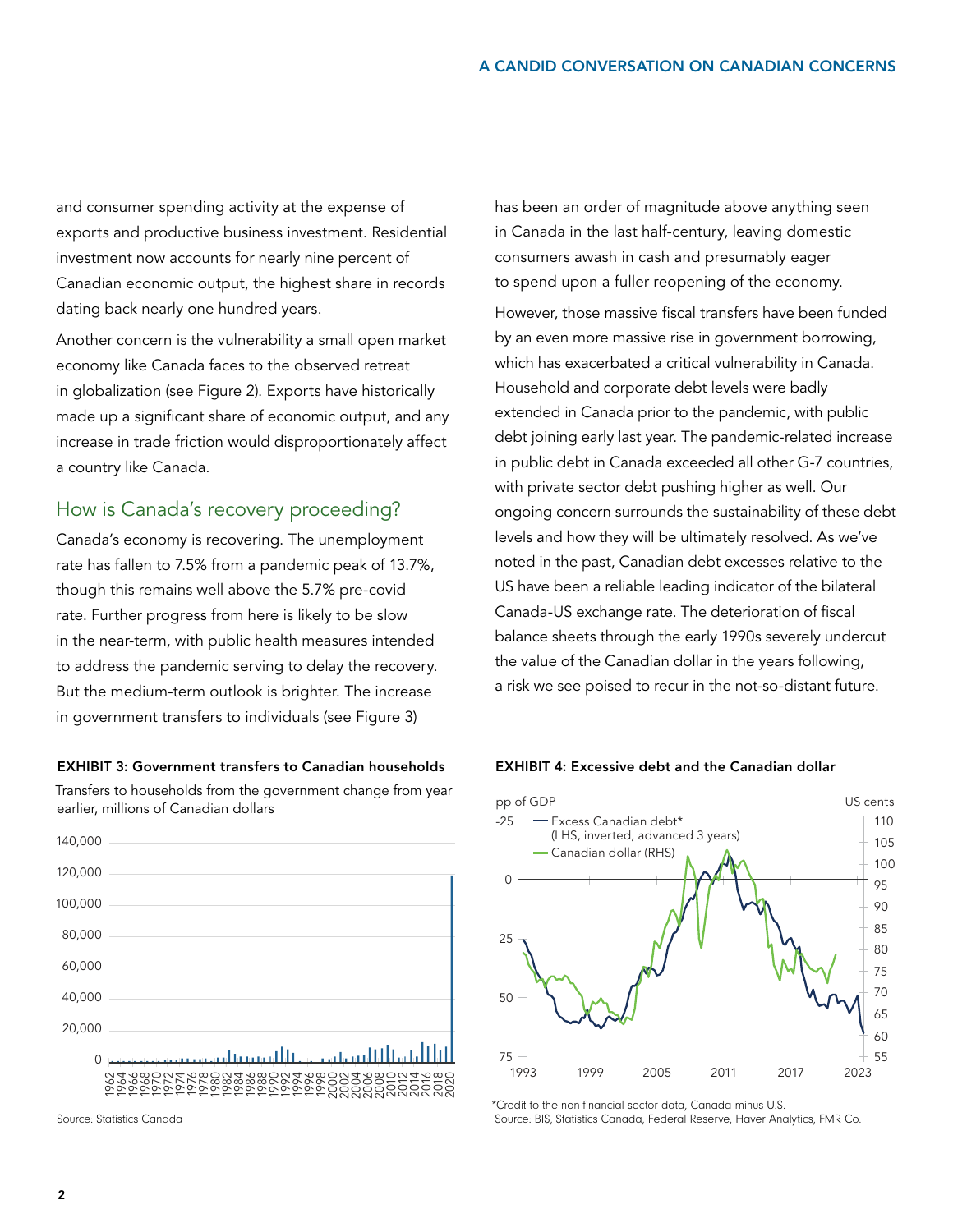and consumer spending activity at the expense of exports and productive business investment. Residential investment now accounts for nearly nine percent of Canadian economic output, the highest share in records dating back nearly one hundred years.

Another concern is the vulnerability a small open market economy like Canada faces to the observed retreat in globalization (see Figure 2). Exports have historically made up a significant share of economic output, and any increase in trade friction would disproportionately affect a country like Canada.

## How is Canada's recovery proceeding?

Canada's economy is recovering. The unemployment rate has fallen to 7.5% from a pandemic peak of 13.7%, though this remains well above the 5.7% pre-covid rate. Further progress from here is likely to be slow in the near-term, with public health measures intended to address the pandemic serving to delay the recovery. But the medium-term outlook is brighter. The increase in government transfers to individuals (see Figure 3)

### EXHIBIT 3: Government transfers to Canadian households

Transfers to households from the government change from year earlier, millions of Canadian dollars



Source: Statistics Canada

has been an order of magnitude above anything seen in Canada in the last half-century, leaving domestic consumers awash in cash and presumably eager to spend upon a fuller reopening of the economy.

However, those massive fiscal transfers have been funded by an even more massive rise in government borrowing, which has exacerbated a critical vulnerability in Canada. Household and corporate debt levels were badly extended in Canada prior to the pandemic, with public debt joining early last year. The pandemic-related increase in public debt in Canada exceeded all other G-7 countries, with private sector debt pushing higher as well. Our ongoing concern surrounds the sustainability of these debt levels and how they will be ultimately resolved. As we've noted in the past, Canadian debt excesses relative to the US have been a reliable leading indicator of the bilateral Canada-US exchange rate. The deterioration of fiscal balance sheets through the early 1990s severely undercut the value of the Canadian dollar in the years following, a risk we see poised to recur in the not-so-distant future.



#### EXHIBIT 4: Excessive debt and the Canadian dollar

\*Credit to the non-financial sector data, Canada minus U.S. Source: BIS, Statistics Canada, Federal Reserve, Haver Analytics, FMR Co.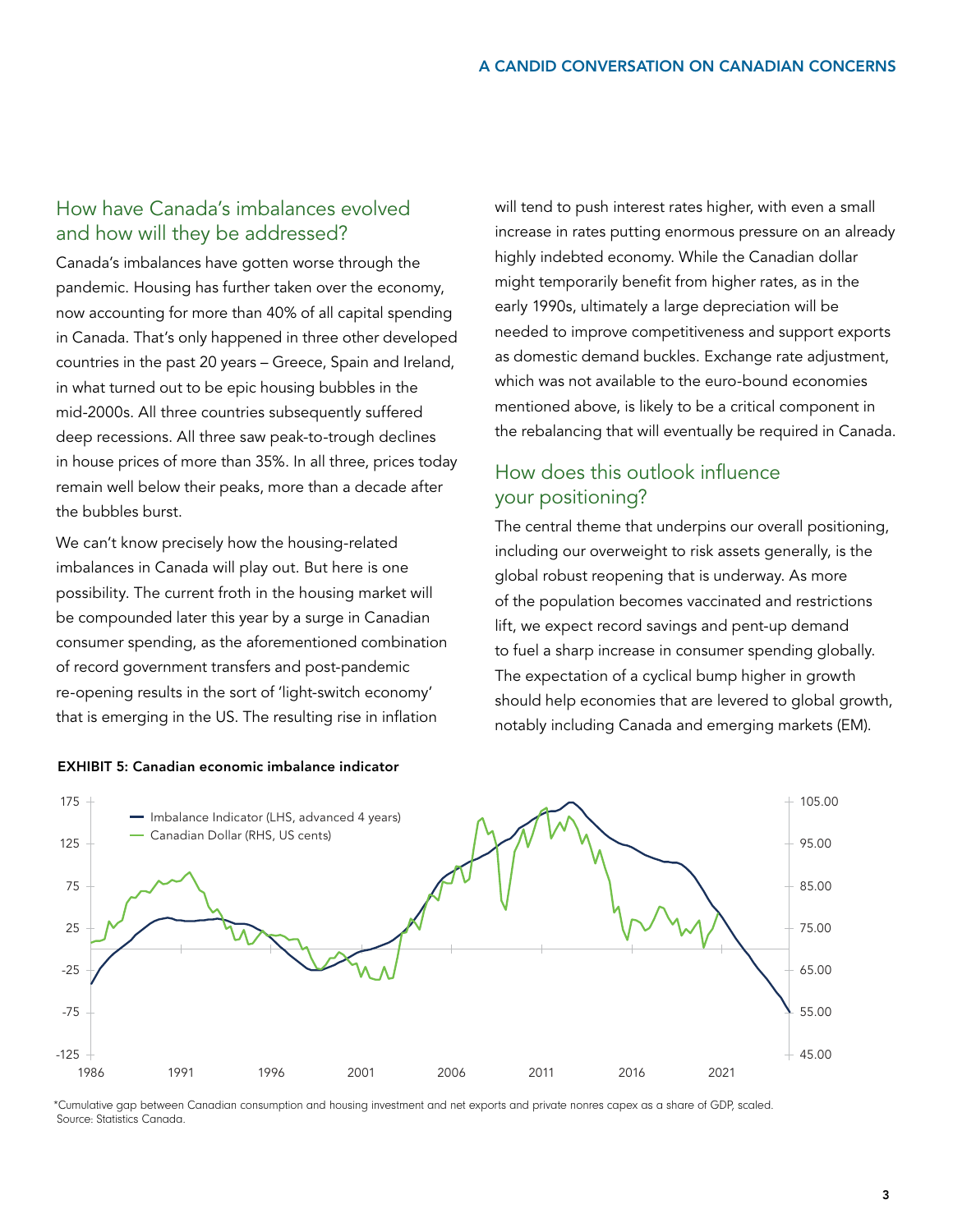# How have Canada's imbalances evolved and how will they be addressed?

Canada's imbalances have gotten worse through the pandemic. Housing has further taken over the economy, now accounting for more than 40% of all capital spending in Canada. That's only happened in three other developed countries in the past 20 years – Greece, Spain and Ireland, in what turned out to be epic housing bubbles in the mid-2000s. All three countries subsequently suffered deep recessions. All three saw peak-to-trough declines in house prices of more than 35%. In all three, prices today remain well below their peaks, more than a decade after the bubbles burst.

We can't know precisely how the housing-related imbalances in Canada will play out. But here is one possibility. The current froth in the housing market will be compounded later this year by a surge in Canadian consumer spending, as the aforementioned combination of record government transfers and post-pandemic re-opening results in the sort of 'light-switch economy' that is emerging in the US. The resulting rise in inflation

will tend to push interest rates higher, with even a small increase in rates putting enormous pressure on an already highly indebted economy. While the Canadian dollar might temporarily benefit from higher rates, as in the early 1990s, ultimately a large depreciation will be needed to improve competitiveness and support exports as domestic demand buckles. Exchange rate adjustment, which was not available to the euro-bound economies mentioned above, is likely to be a critical component in the rebalancing that will eventually be required in Canada.

# How does this outlook influence your positioning?

The central theme that underpins our overall positioning, including our overweight to risk assets generally, is the global robust reopening that is underway. As more of the population becomes vaccinated and restrictions lift, we expect record savings and pent-up demand to fuel a sharp increase in consumer spending globally. The expectation of a cyclical bump higher in growth should help economies that are levered to global growth, notably including Canada and emerging markets (EM).



EXHIBIT 5: Canadian economic imbalance indicator

\*Cumulative gap between Canadian consumption and housing investment and net exports and private nonres capex as a share of GDP, scaled. Source: Statistics Canada.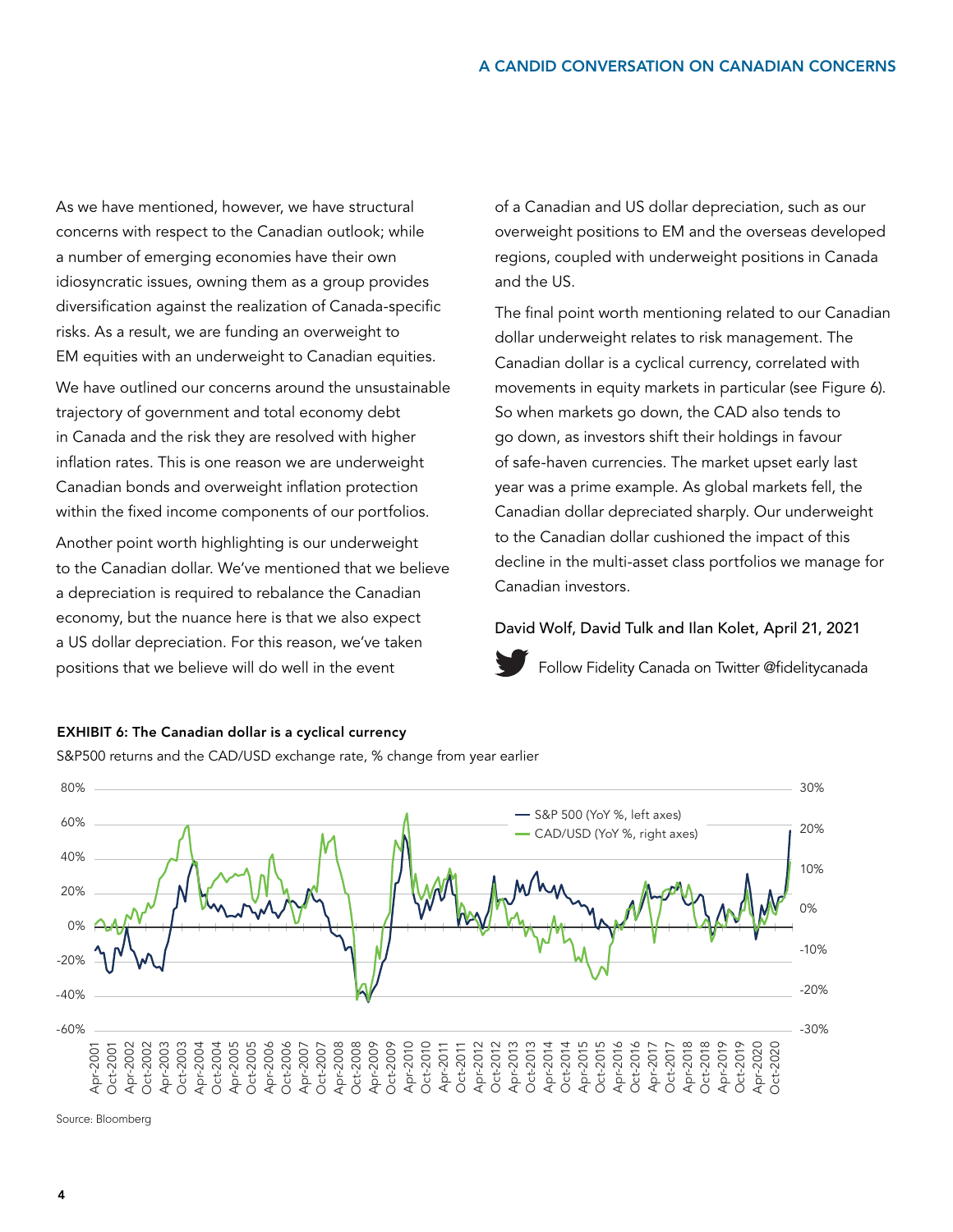As we have mentioned, however, we have structural concerns with respect to the Canadian outlook; while a number of emerging economies have their own idiosyncratic issues, owning them as a group provides diversification against the realization of Canada-specific risks. As a result, we are funding an overweight to EM equities with an underweight to Canadian equities.

We have outlined our concerns around the unsustainable trajectory of government and total economy debt in Canada and the risk they are resolved with higher inflation rates. This is one reason we are underweight Canadian bonds and overweight inflation protection within the fixed income components of our portfolios.

Another point worth highlighting is our underweight to the Canadian dollar. We've mentioned that we believe a depreciation is required to rebalance the Canadian economy, but the nuance here is that we also expect a US dollar depreciation. For this reason, we've taken positions that we believe will do well in the event

of a Canadian and US dollar depreciation, such as our overweight positions to EM and the overseas developed regions, coupled with underweight positions in Canada and the US.

The final point worth mentioning related to our Canadian dollar underweight relates to risk management. The Canadian dollar is a cyclical currency, correlated with movements in equity markets in particular (see Figure 6). So when markets go down, the CAD also tends to go down, as investors shift their holdings in favour of safe-haven currencies. The market upset early last year was a prime example. As global markets fell, the Canadian dollar depreciated sharply. Our underweight to the Canadian dollar cushioned the impact of this decline in the multi-asset class portfolios we manage for Canadian investors.

### David Wolf, David Tulk and Ilan Kolet, April 21, 2021



[Follow Fidelity Canada on Twitter @fidelitycanada](https://twitter.com/fidelitycanada)



## EXHIBIT 6: The Canadian dollar is a cyclical currency

S&P500 returns and the CAD/USD exchange rate, % change from year earlier